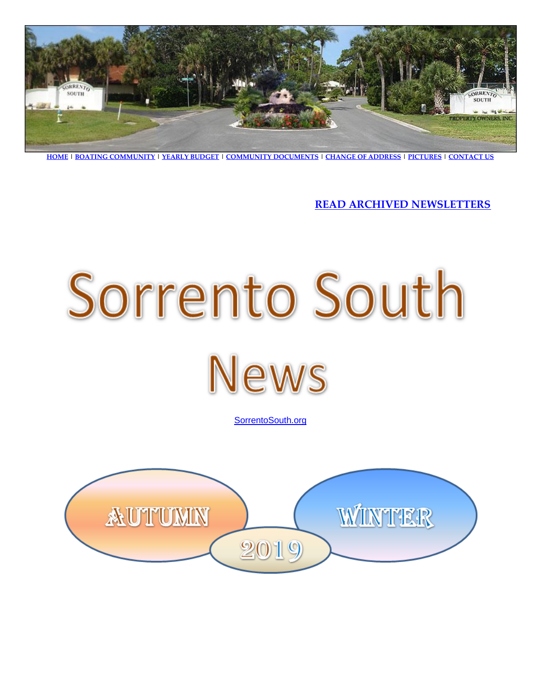

**[HOME](http://sorrentosouth.org/index.html) | [BOATING COMMUNITY](http://sorrentosouth.org/boatingcommunity.html) [| YEARLY BUDGET](http://sorrentosouth.org/community_documents/Sorrento%20South%202018%20Approved%20Budget.pdf) | [COMMUNITY DOCUMENTS](http://sorrentosouth.org/community_documents.html) [| CHANGE OF ADDRESS](http://sorrentosouth.org/change_of_address.html) | [PICTURES](http://sorrentosouth.org/pictures.html) | [CONTACT US](http://sorrentosouth.org/contact.html)**

**[READ ARCHIVED NEWSLETTERS](http://sorrentosouth.org/newsletterarchived.html)**



[SorrentoSouth.org](http://www.sorrentosouth.org/)

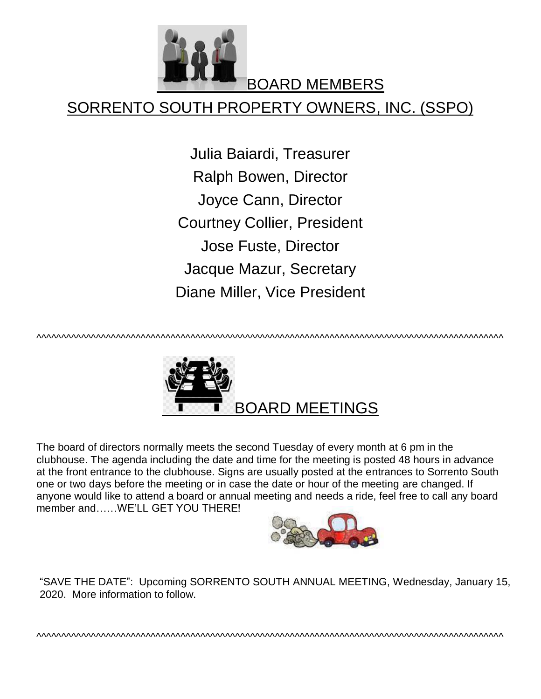

BOARD MEMBERS

## SORRENTO SOUTH PROPERTY OWNERS, INC. (SSPO)

Julia Baiardi, Treasurer Ralph Bowen, Director Joyce Cann, Director Courtney Collier, President Jose Fuste, Director Jacque Mazur, Secretary Diane Miller, Vice President

^^^^^^^^^^^^^^^^^^^^^^^^^^^^^^^^^^^^^^^^^^^^^^^^^^^^^^^^^^^^^^^^^^^^^^^^^^^^^^^^^^^^^^^^^^^^^^



The board of directors normally meets the second Tuesday of every month at 6 pm in the clubhouse. The agenda including the date and time for the meeting is posted 48 hours in advance at the front entrance to the clubhouse. Signs are usually posted at the entrances to Sorrento South one or two days before the meeting or in case the date or hour of the meeting are changed. If anyone would like to attend a board or annual meeting and needs a ride, feel free to call any board member and……WE'LL GET YOU THERE!



"SAVE THE DATE": Upcoming SORRENTO SOUTH ANNUAL MEETING, Wednesday, January 15, 2020. More information to follow.

^^^^^^^^^^^^^^^^^^^^^^^^^^^^^^^^^^^^^^^^^^^^^^^^^^^^^^^^^^^^^^^^^^^^^^^^^^^^^^^^^^^^^^^^^^^^^^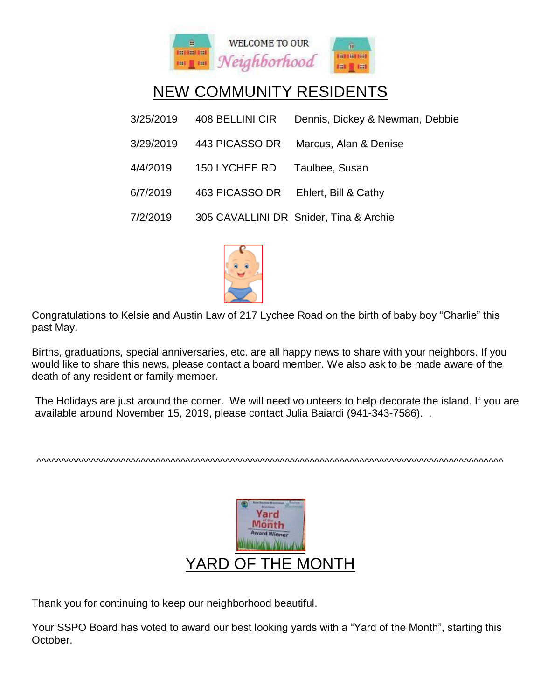

# NEW COMMUNITY RESIDENTS

| 3/25/2019 | 408 BELLINI CIR | Dennis, Dickey & Newman, Debbie        |
|-----------|-----------------|----------------------------------------|
| 3/29/2019 | 443 PICASSO DR  | Marcus, Alan & Denise                  |
| 4/4/2019  | 150 LYCHEE RD   | Taulbee, Susan                         |
| 6/7/2019  | 463 PICASSO DR  | Ehlert, Bill & Cathy                   |
| 7/2/2019  |                 | 305 CAVALLINI DR Snider, Tina & Archie |



Congratulations to Kelsie and Austin Law of 217 Lychee Road on the birth of baby boy "Charlie" this past May.

Births, graduations, special anniversaries, etc. are all happy news to share with your neighbors. If you would like to share this news, please contact a board member. We also ask to be made aware of the death of any resident or family member.

The Holidays are just around the corner. We will need volunteers to help decorate the island. If you are available around November 15, 2019, please contact Julia Baiardi (941-343-7586). .

^^^^^^^^^^^^^^^^^^^^^^^^^^^^^^^^^^^^^^^^^^^^^^^^^^^^^^^^^^^^^^^^^^^^^^^^^^^^^^^^^^^^^^^^^^^^^^



Thank you for continuing to keep our neighborhood beautiful.

Your SSPO Board has voted to award our best looking yards with a "Yard of the Month", starting this October.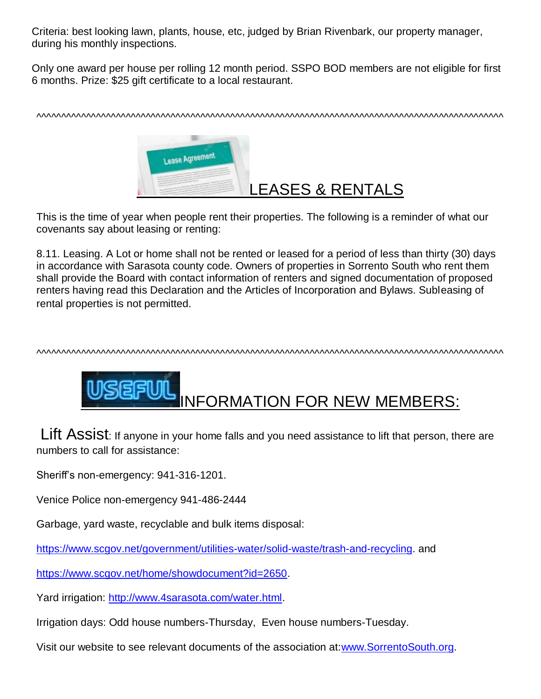Criteria: best looking lawn, plants, house, etc, judged by Brian Rivenbark, our property manager, during his monthly inspections.

Only one award per house per rolling 12 month period. SSPO BOD members are not eligible for first 6 months. Prize: \$25 gift certificate to a local restaurant.

^^^^^^^^^^^^^^^^^^^^^^^^^^^^^^^^^^^^^^^^^^^^^^^^^^^^^^^^^^^^^^^^^^^^^^^^^^^^^^^^^^^^^^^^^^^^^^



This is the time of year when people rent their properties. The following is a reminder of what our covenants say about leasing or renting:

8.11. Leasing. A Lot or home shall not be rented or leased for a period of less than thirty (30) days in accordance with Sarasota county code. Owners of properties in Sorrento South who rent them shall provide the Board with contact information of renters and signed documentation of proposed renters having read this Declaration and the Articles of Incorporation and Bylaws. Subleasing of rental properties is not permitted.

^^^^^^^^^^^^^^^^^^^^^^^^^^^^^^^^^^^^^^^^^^^^^^^^^^^^^^^^^^^^^^^^^^^^^^^^^^^^^^^^^^^^^^^^^^^^^^



Lift Assist: If anyone in your home falls and you need assistance to lift that person, there are numbers to call for assistance:

Sheriff's non-emergency: 941-316-1201.

Venice Police non-emergency 941-486-2444

Garbage, yard waste, recyclable and bulk items disposal:

[https://www.scgov.net/government/utilities-water/solid-waste/trash-and-recycling.](https://www.scgov.net/government/utilities-water/solid-waste/trash-and-recycling) and

[https://www.scgov.net/home/showdocument?id=2650.](https://www.scgov.net/home/showdocument?id=2650)

Yard irrigation: [http://www.4sarasota.com/water.html.](http://www.4sarasota.com/water.html)

Irrigation days: Odd house numbers-Thursday, Even house numbers-Tuesday.

Visit our website to see relevant documents of the association at[:www.SorrentoSouth.org.](http://www.sorrentosouth.org/)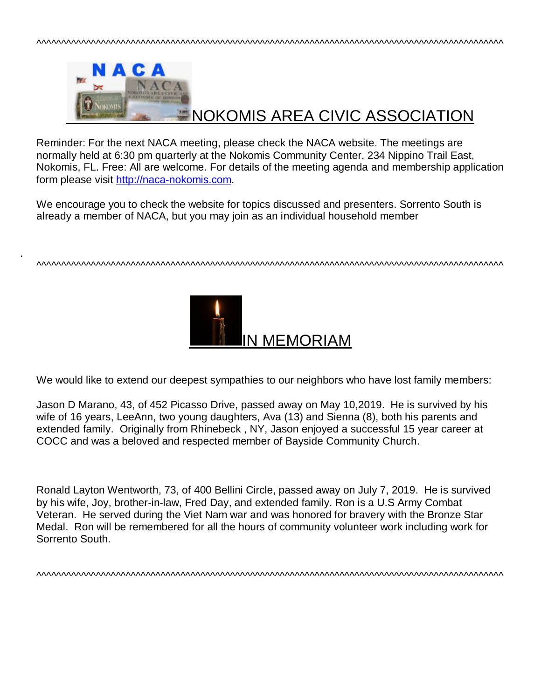

Reminder: For the next NACA meeting, please check the NACA website. The meetings are normally held at 6:30 pm quarterly at the Nokomis Community Center, 234 Nippino Trail East, Nokomis, FL. Free: All are welcome. For details of the meeting agenda and membership application form please visit [http://naca-nokomis.com.](http://naca-nokomis.com/)

We encourage you to check the website for topics discussed and presenters. Sorrento South is already a member of NACA, but you may join as an individual household member

.

^^^^^^^^^^^^^^^^^^^^^^^^^^^^^^^^^^^^^^^^^^^^^^^^^^^^^^^^^^^^^^^^^^^^^^^^^^^^^^^^^^^^^^^^^^^^^^



We would like to extend our deepest sympathies to our neighbors who have lost family members:

Jason D Marano, 43, of 452 Picasso Drive, passed away on May 10,2019. He is survived by his wife of 16 years, LeeAnn, two young daughters, Ava (13) and Sienna (8), both his parents and extended family. Originally from Rhinebeck , NY, Jason enjoyed a successful 15 year career at COCC and was a beloved and respected member of Bayside Community Church.

Ronald Layton Wentworth, 73, of 400 Bellini Circle, passed away on July 7, 2019. He is survived by his wife, Joy, brother-in-law, Fred Day, and extended family. Ron is a U.S Army Combat Veteran. He served during the Viet Nam war and was honored for bravery with the Bronze Star Medal. Ron will be remembered for all the hours of community volunteer work including work for Sorrento South.

^^^^^^^^^^^^^^^^^^^^^^^^^^^^^^^^^^^^^^^^^^^^^^^^^^^^^^^^^^^^^^^^^^^^^^^^^^^^^^^^^^^^^^^^^^^^^^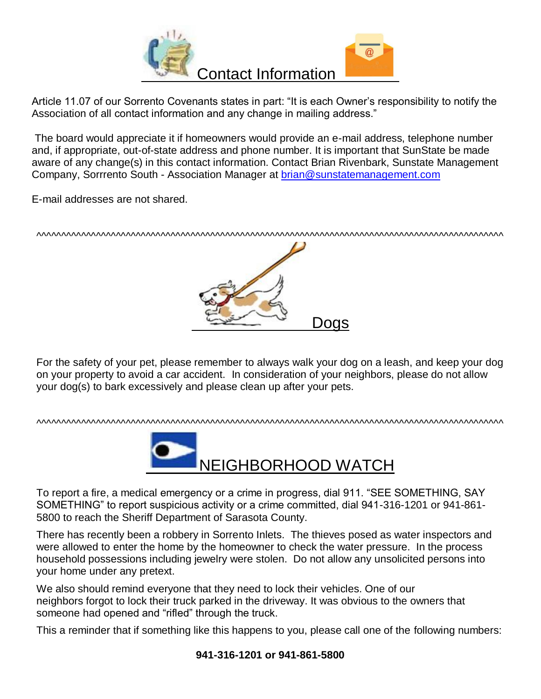

Article 11.07 of our Sorrento Covenants states in part: "It is each Owner's responsibility to notify the Association of all contact information and any change in mailing address."

The board would appreciate it if homeowners would provide an e-mail address, telephone number and, if appropriate, out-of-state address and phone number. It is important that SunState be made aware of any change(s) in this contact information. Contact Brian Rivenbark, Sunstate Management Company, Sorrrento South - Association Manager at [brian@sunstatemanagement.com](mailto:brian@sunstatemanagement.com)

E-mail addresses are not shared.

^^^^^^^^^^^^^^^^^^^^^^^^^^^^^^^^^^^^^^^^^^^^^^^^^^^^^^^^^^^^^^^^^^^^^^^^^^^^^^^^^^^^^^^^^^^^^^



For the safety of your pet, please remember to always walk your dog on a leash, and keep your dog on your property to avoid a car accident. In consideration of your neighbors, please do not allow your dog(s) to bark excessively and please clean up after your pets.

#### ^^^^^^^^^^^^^^^^^^^^^^^^^^^^^^^^^^^^^^^^^^^^^^^^^^^^^^^^^^^^^^^^^^^^^^^^^^^^^^^^^^^^^^^^^^^^^^



To report a fire, a medical emergency or a crime in progress, dial 911. "SEE SOMETHING, SAY SOMETHING" to report suspicious activity or a crime committed, dial 941-316-1201 or 941-861- 5800 to reach the Sheriff Department of Sarasota County.

There has recently been a robbery in Sorrento Inlets. The thieves posed as water inspectors and were allowed to enter the home by the homeowner to check the water pressure. In the process household possessions including jewelry were stolen. Do not allow any unsolicited persons into your home under any pretext.

We also should remind everyone that they need to lock their vehicles. One of our neighbors forgot to lock their truck parked in the driveway. It was obvious to the owners that someone had opened and "rifled" through the truck.

This a reminder that if something like this happens to you, please call one of the following numbers: